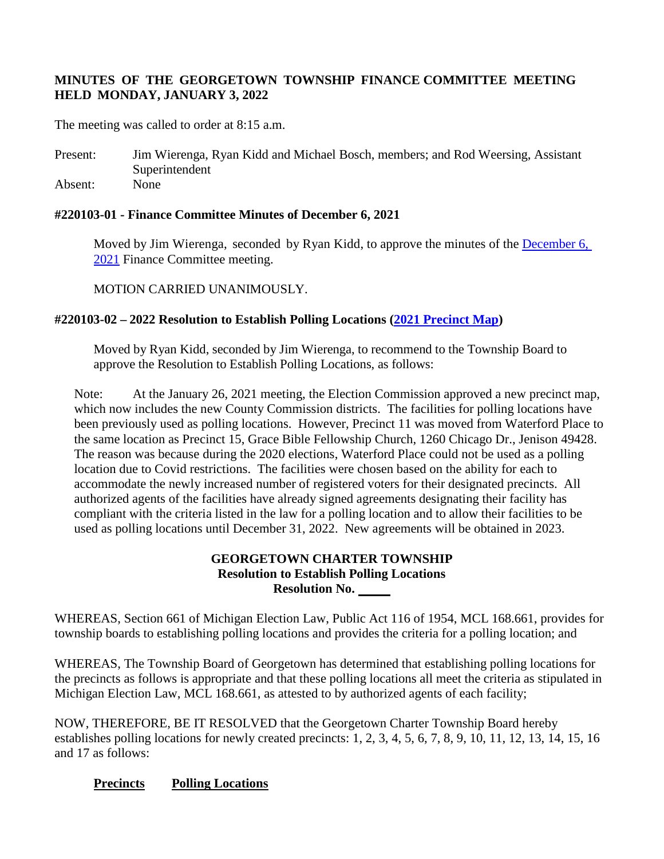# **MINUTES OF THE GEORGETOWN TOWNSHIP FINANCE COMMITTEE MEETING HELD MONDAY, JANUARY 3, 2022**

The meeting was called to order at 8:15 a.m.

Present: Jim Wierenga, Ryan Kidd and Michael Bosch, members; and Rod Weersing, Assistant Superintendent Absent: None

## **#220103-01 - Finance Committee Minutes of December 6, 2021**

Moved by Jim Wierenga, seconded by Ryan Kidd, to approve the minutes of the December 6, [2021](https://www.georgetown-mi.gov/AgendaCenter/ViewFile/Item/8984?fileID=78943) Finance Committee meeting.

MOTION CARRIED UNANIMOUSLY.

# **#220103-02 – 2022 Resolution to Establish Polling Locations [\(2021 Precinct Map\)](https://www.georgetown-mi.gov/AgendaCenter/ViewFile/Item/9001?fileID=78944)**

Moved by Ryan Kidd, seconded by Jim Wierenga, to recommend to the Township Board to approve the Resolution to Establish Polling Locations, as follows:

Note: At the January 26, 2021 meeting, the Election Commission approved a new precinct map, which now includes the new County Commission districts. The facilities for polling locations have been previously used as polling locations. However, Precinct 11 was moved from Waterford Place to the same location as Precinct 15, Grace Bible Fellowship Church, 1260 Chicago Dr., Jenison 49428. The reason was because during the 2020 elections, Waterford Place could not be used as a polling location due to Covid restrictions. The facilities were chosen based on the ability for each to accommodate the newly increased number of registered voters for their designated precincts. All authorized agents of the facilities have already signed agreements designating their facility has compliant with the criteria listed in the law for a polling location and to allow their facilities to be used as polling locations until December 31, 2022. New agreements will be obtained in 2023.

## **GEORGETOWN CHARTER TOWNSHIP Resolution to Establish Polling Locations Resolution No.**

WHEREAS, Section 661 of Michigan Election Law, Public Act 116 of 1954, MCL 168.661, provides for township boards to establishing polling locations and provides the criteria for a polling location; and

WHEREAS, The Township Board of Georgetown has determined that establishing polling locations for the precincts as follows is appropriate and that these polling locations all meet the criteria as stipulated in Michigan Election Law, MCL 168.661, as attested to by authorized agents of each facility;

NOW, THEREFORE, BE IT RESOLVED that the Georgetown Charter Township Board hereby establishes polling locations for newly created precincts: 1, 2, 3, 4, 5, 6, 7, 8, 9, 10, 11, 12, 13, 14, 15, 16 and 17 as follows:

## **Precincts Polling Locations**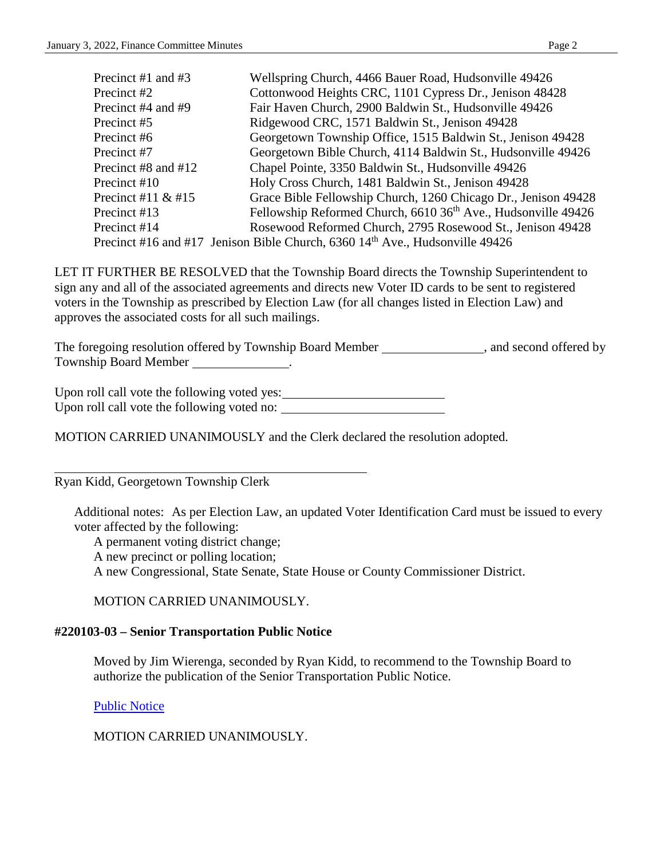| Precinct #1 and #3   | Wellspring Church, 4466 Bauer Road, Hudsonville 49426                                      |
|----------------------|--------------------------------------------------------------------------------------------|
| Precinct #2          | Cottonwood Heights CRC, 1101 Cypress Dr., Jenison 48428                                    |
| Precinct #4 and #9   | Fair Haven Church, 2900 Baldwin St., Hudsonville 49426                                     |
| Precinct #5          | Ridgewood CRC, 1571 Baldwin St., Jenison 49428                                             |
| Precinct #6          | Georgetown Township Office, 1515 Baldwin St., Jenison 49428                                |
| Precinct #7          | Georgetown Bible Church, 4114 Baldwin St., Hudsonville 49426                               |
| Precinct #8 and #12  | Chapel Pointe, 3350 Baldwin St., Hudsonville 49426                                         |
| Precinct #10         | Holy Cross Church, 1481 Baldwin St., Jenison 49428                                         |
| Precinct #11 $&$ #15 | Grace Bible Fellowship Church, 1260 Chicago Dr., Jenison 49428                             |
| Precinct #13         | Fellowship Reformed Church, 6610 36 <sup>th</sup> Ave., Hudsonville 49426                  |
| Precinct #14         | Rosewood Reformed Church, 2795 Rosewood St., Jenison 49428                                 |
|                      | Precinct #16 and #17 Jenison Bible Church, $6360$ 14 <sup>th</sup> Ave., Hudsonville 49426 |
|                      |                                                                                            |

LET IT FURTHER BE RESOLVED that the Township Board directs the Township Superintendent to sign any and all of the associated agreements and directs new Voter ID cards to be sent to registered voters in the Township as prescribed by Election Law (for all changes listed in Election Law) and approves the associated costs for all such mailings.

The foregoing resolution offered by Township Board Member \_\_\_\_\_\_\_\_\_\_\_\_\_\_, and second offered by Township Board Member .

Upon roll call vote the following voted yes:<br>
<u>Upon roll call vote</u> the following voted yes: Upon roll call vote the following voted no:

MOTION CARRIED UNANIMOUSLY and the Clerk declared the resolution adopted.

Ryan Kidd, Georgetown Township Clerk

Additional notes: As per Election Law, an updated Voter Identification Card must be issued to every voter affected by the following:

A permanent voting district change;

A new precinct or polling location;

A new Congressional, State Senate, State House or County Commissioner District.

MOTION CARRIED UNANIMOUSLY.

# **#220103-03 – Senior Transportation Public Notice**

Moved by Jim Wierenga, seconded by Ryan Kidd, to recommend to the Township Board to authorize the publication of the Senior Transportation Public Notice.

[Public Notice](https://www.georgetown-mi.gov/AgendaCenter/ViewFile/Item/9040?fileID=78963)

MOTION CARRIED UNANIMOUSLY.